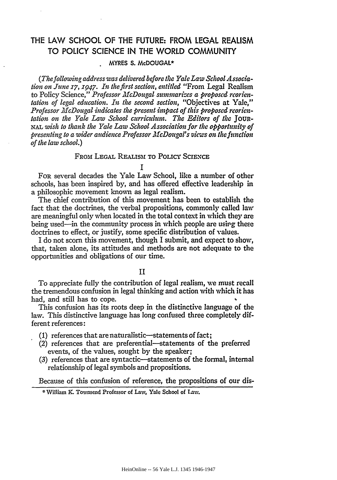# THE LAW **SCHOOL** OF THE **FUTURE:** FROM **LEGAL** REALISM TO POLICY **SCIENCE IN** THE WORLD **COMMUNITY**

## **MYRES S. McDOUGAL\***

*(The following address was delivered before the Yale Law School Association on June 17, x947. In the first section, entitled* "From Legal Realism to Policy Science," Professor McDougal summarizes a proposed reorien*tation of legal education. In the second section,* "Objectives at Yale," *Professor McDougal indicates the present impact of this proposed reorien*tation on the Yale Law School curriculum. The Editors of the JOUR-*NAL wish to thank the Yale Law School Association for the opportunity of presenting to a wider audience Professor McDougal's views on the function of the law school.)*

## FROM LEGAL REALISM TO POLICY SCIENCE

I

**FOR** several decades the Yale Law School, like a number of other schools, has been inspired **by,** and has offered effective leadership in a philosophic movement knowm as legal realism.

The chief contribution of this movement has been to establish the fact that the doctrines, the verbal propositions, commonly called law are meaningful only when located in the total context in which they are being used—in the community process in which people are using these doctrines to effect, or justify, some specific distribution of values.

I do not scorn this movement, though I submit, and expect to show, that, taken alone, its attitudes and methods are not adequate to the opportunities and obligations of our time.

## II

To appreciate fully the contribution of legal realism, we must recall the tremendous confusion in legal thinking and action with which it has had, and still has to cope.

This confusion has its roots deep in the distinctive language of the law. This distinctive language has long confused three completely different references:

- $(1)$  references that are naturalistic—statements of fact;
- *(2)* references that are preferential--statements of the preferred events, of the values, sought by the speaker;
- (3) references that are syntactic-statements of the formal, internal relationship of legal symbols and propositions.

Because of this confusion of reference, the propositions of our dis-

**<sup>\*</sup>** William **I-** Townsend Professor of Law, Yale School of law.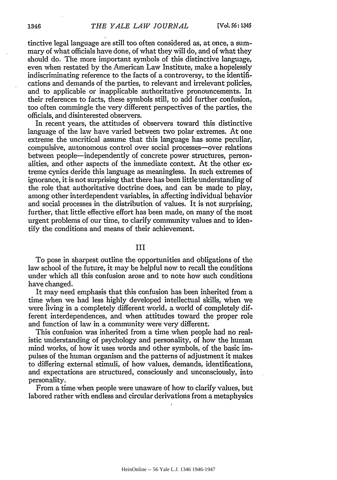tinctive legal language are still too often considered as, at once, a summary of what officials have done, of what they will do, and of what they should do. The more important symbols of this distinctive language, even when restated by the American Law Institute, make a hopelessly indiscriminating reference to the facts of a controversy, to the identifications and demands of the parties, to relevant and irrelevant policies, and to applicable or inapplicable authoritative pronouncements. In their references to facts, these symbols still, to add further confusion, too often commingle the very different perspectives of the parties, the officials, and disinterested observers.

In recent years, the attitudes of observers toward this distinctive language of the law have varied between two polar extremes. At one extreme the uncritical assume that this language has some peculiar, compulsive, autonomous control over social processes-over relations between people-independently of concrete power structures, personalities, and other aspects of the immediate context. At the other extreme cynics deride this language as meaningless. In such extremes of ignorance, it is not surprising that there has been little understanding of the role that authoritative doctrine does, and can be made to play, among other interdependent variables, in affecting individual behavior and social processes in the distribution of values. It is not surprising, further, that little effective effort has been made, on many of the most urgent problems of our time, to clarify community values and to identify the conditions and means of their achievement.

## III

To pose in sharpest outline the opportunities and obligations of the law school of the future, it may be helpful now to recall the conditions under which all this confusion arose and to note how such conditions have changed.

It may need emphasis that this confusion has been inherited from a time when we had less highly developed intellectual skills, when we were iving in a completely different world, a world of completely different interdependences, and when attitudes toward the proper role and function of law in a community were very different.

This confusion was inherited from a time when people had no realistic understanding of psychology and personality, of how the human mind works, of how it uses words and other symbols, of the basic impulses of the human organism and the patterns of adjustment it makes to differing external stimuli, of how values, demands, identifications, and expectations are structured, consciously and unconsciously, into personality.

From a time when people were unaware of how to clarify values, but labored rather with endless and circular derivations from a metaphysics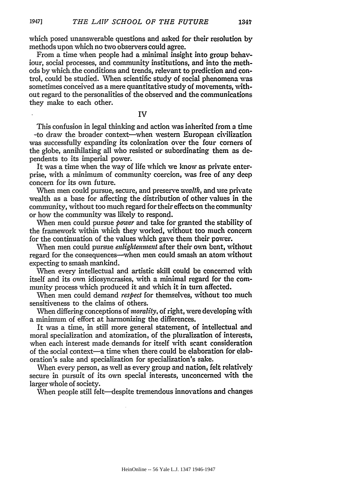which posed unanswerable questions and asked for their resolution by methods upon which no two observers could agree.

From a time when people had a minimal insight into group behaviour, social processes, and community institutions, and into the methods by which.the conditions and trends, relevant to prediction and control, could be studied. When scientific study of social phenomena was sometimes conceived as a mere quantitative study of movements, without regard to the personalities of the observed and the communications they make to each other.

IV

This confusion in legal thinking and action was inherited from a time -to draw the broader context-when western European civilization was successfully expanding its colonization over the four comers of the globe, annihilating all who resisted or subordinating them as dependents to its imperial power.

It was a time when the way of life which we know as private enterprise, with a minimum of community coercion, was free of any deep concern for its own future.

When men could pursue, secure, and preserve *wealth,* and use private wealth as a base for affecting the distribution of other values in the community, without too much regard for their effects on the community or how the community was likely to respond.

When men could pursue *power* and take for granted the stability of the framework within which they worked, without too much concern for the continuation of the values which gave them their power.

'Vhen men could pursue *enlightenment* after their own bent, without regard for the consequences—when men could smash an atom without expecting to smash mankind.

When every intellectual and artistic skill could be concerned with itself and its own idiosyncrasies, with a minimal regard for the community process which produced it and which it in turn affected.

When men could demand *respect* for themselves, without too much sensitiveness to the claims of others.

When differing conceptions of *morality,* of right, were developing with a minimum of effort at harmonizing the differences.

It was a time, in still more general statement, of intellectual and moral specialization and atomization, of the pluralization of interests, when each interest made demands for itself with scant consideration of the social context-a time when there could be elaboration for elaboration's sake and specialization for specialization's sake.

When every person, as well as every group and nation, felt relatively secure in pursuit of its own special interests, unconcerned with the larger whole of society.

When people still felt—despite tremendous innovations and changes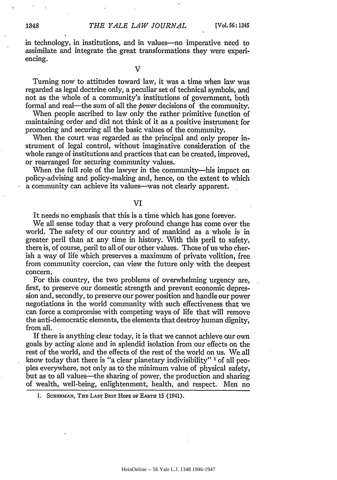in technology, in institutions, and in values-no imperative need to assimilate and integrate the great transformations they were experiencing.

Turning now to attitudes toward law, it was a time when law was regarded as legal doctrine only, a peculiar set of technical symbols, and not as the whole of a community's institutions of government, both formal and real-the sum of all the *power* decisions of the community.

When people ascribed to law only the rather primitive function of maintaining order and did not think of it as a positive instrument for promoting and securing all the basic values of the community,

When the court was regarded as the principal and only proper instrument of legal control, without imaginative consideration of the whole range of institutions and practices that can be created, improved, or rearranged for securing community values.

When the full role of the lawyer in the community-his impact on policy-advising and policy-making and, hence, on the extent to which a community can achieve its values—was not clearly apparent.

#### VI

*'It* needs no emphasis that this is a time which has gone forever.

We all sense today that a very profound change has come over the world. The safety of our country and of mankind as a whole is in greater peril than at any time in history. With this peril to safety, there is, of course, peril to all of our other values. Those of us who cherish a way of life which preserves a maximum of private volition, free from community coercion, can view the future only with the deepest concern.

For this country, the two problems of overwhelming urgency are, first, to preserve our domestic strength and prevent economic depression and, secondly, to preserve our power position and handle our power negotiations in the world community with such effectiveness that we can force a compromise with competing ways of life that will remove the anti-democratic elements, the elements that destroy human dignity, from all.

If there is anything clear today, it is that we cannot achieve our own goals by acting alone and in splendid isolation from our effects on the rest of the world, and the effects of the rest of the world on us. We all know today that there is "a clear planetary indivisibility"  $\frac{1}{1}$  of all peoples everywhere, not only as to the minimum value of physical safety, but as to all values—the sharing of power, the production and sharing of wealth, well-being, enlightenment, health, and respect. Men no

**<sup>1.</sup> SCHERMAN, THE LAST** BEST **HOPE** OF **EARTH 15** (1941).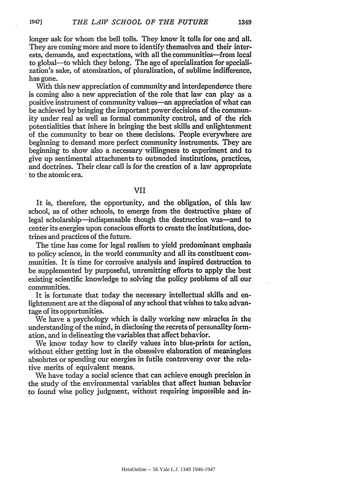longer ask for whom the bell tolls. They know it tolls for one and all. They are coming more and more to identify themselves and their interests, demands, and expectations, with all the communities-from local to global-to which they belong. The age of specialization for specialization's sake, of atomization, of pluralization, of sublime indifference, has gone.

With this new appreciation of community and interdependence there is coming also a new appreciation of the role that law can play as a positive instrument of community values—an appreciation of what can be achieved by bringing the important power decisions of the community under real as well as formal community control, and of the rich potentialities that inhere in bringing the best skills and enlightenment of the community to bear on these decisions. People everywhere are beginning to demand more perfect community instruments. They are beginning to show also a necessary willingness to experiment and to give up sentimental attachments to outmoded institutions, practices, and doctrines. Their clear call is for the creation of a law appropriate to the atomic era.

VII

It is, therefore, the opportunity, and the obligation, of this **law** school, as of other schools, to emerge from the destructive phase of legal scholarship—indispensable though the destruction was—and to center its energies upon conscious efforts to create the institutions, doctrines and practices of the future.

The time has come for legal realism to yield predominant emphasis to policy science, in the world community and all its constituent communities. It is time for corrosive analysis and inspired destruction to be supplemented by purposeful, unremitting efforts to apply the best existing scientific knowledge to solving the policy problems of all our communities.

It is fortunate that today the necessary intellectual skills and enlightenment are at the disposal of any school that wishes to take advantage of its opportunities.

We have a psychology which is daily working new miracles in the understanding of the mind, in disclosing the secrets of personality formation, and in delineating the variables that affect behavior.

We know today how to clarify values into blue-prints for action, without either getting lost in the obsessive elaboration of meaningless absolutes or spending our energies in futile controversy over the relative merits of equivalent means.

We have today a social science that can achieve enough precision in the study of the environmental variables that affect human behavior to found wise policy judgment, without requiring impossible and in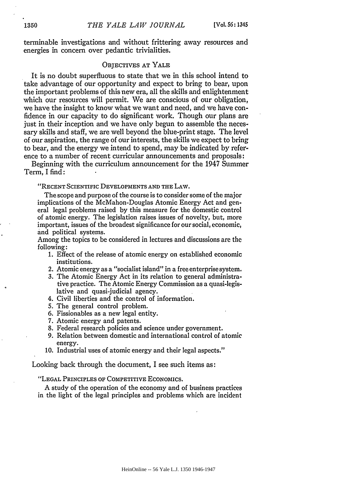terminable investigations and without frittering away resources and energies in concern over pedantic trivialities.

## **OBJECTIVES AT** YALE

It is no doubt superfluous to state that we in this school intend to take advantage of our opportunity and expect to bring to bear, upon the important problems of this new era, all the skills and enlightenment which our resources will permit. We are conscious of our obligation, we have the insight to know what we want and need, and we have confidence in our capacity to do significant work. Though our plans are just in their inception and we have only begun to assemble the necessary skills and staff, we are well beyond the blue-print stage. The level of our aspiration, the range of our interests, the skills we expect to bring to bear, and the energy we intend to spend, may be indicated by reference to a number of recent curricular announcements and proposals:

Beginning with the curriculum announcement for the 1947 Summer Term, I find:

"RECENT SCIENTIFIc DEVELOPMENTS **AND THE** LAW.

The scope and purpose of the course is to consider some of the major implications of the McMahon-Douglas Atomic Energy Act and general legal problems raised by this measure for the domestic control of atomic energy. The legislation raises issues of novelty, but, more important, issues of the broadest significance for our social, economic, and political systems.

Among the topics to be considered in lectures and discussions are the following:

- **1.** Effect of the release of atomic energy on established economic institutions.
- 2. Atomic energy as a "socialist island" in a free enterprise system.
- 3. The Atomic Energy Act in its relation to general administrative practice. The Atomic Energy Commission as a quasi-legislative and quasi-judicial agency.
- 4. Civil liberties and the control of information.
- 5. The general control problem.
- **6.** Fissionables as a new legal entity.
- 7. Atomic energy and patents.
- 8. Federal research policies and science under government.
- 9. Relation between domestic and international control of atomic energy.
- **10.** Industrial uses of atomic energy and their legal aspects."

Looking back through the document, I see such items as:

**"LEGAL** PRINCIPLES OF **COMPETITIVE ECONOMICS.**

A study of the operation of the economy and of business practices in the light of the legal principles and problems which are incident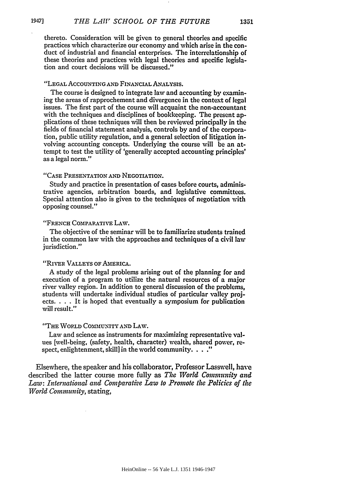thereto. Consideration will be given to general theories and specific practices which characterize our economy and which arise in the conduct of industrial and financial enterprises. The interrelationship of these theories and practices with legal theories and specific legislation and court decisions will be discussed."

#### **"LEGAL ACCOUNTING AND FINANCIAL ANALYSIS.**

The course is designed to integrate law and accounting by examining the areas of rapprochement and divergence in the context of legal issues. The first part of the course will acquaint the non-accountant with the techniques and disciplines of bookkeeping. The present applications of these techniques will then be reviewed principally in the fields of financial statement analysis, controls by and of the corporation, public utility regulation, and a general selection of litigation involving accounting concepts. Underlying the course will be an attempt to test the utility of 'generally accepted accounting principles' as a legal norm."

#### **"CASE PRESENTATION AND NEGOTIATION.**

Study and practice in presentation of cases before courts, administrative agencies, arbitration boards, and legislative committees. Special attention also is given to the techniques of negotiation with opposing counsel."

#### "FRENCH **CoiPARATIvE** LAW.

The objective of the seminar will be to familiarize students trained in the common law with the approaches and techniques of a civil law jurisdiction."

## "RivER **VALLEYS OF AMERICA.**

A study of the legal problems arising out of the planning for and execution of a program to utilize the natural resources of a major river valley region. In addition to general discussion of the problems, students will undertake individual studies of particular valley projects. . **.** . It is hoped that eventually a symposium for publication will result."

#### **"THE WORLD COMMUNITY AND LAW.**

Law and science as instruments for maximizing representative values [well-being, (safety, health, character) wealth, shared power, respect, enlightenment, skill] in the world community. **.. ."**

Elsewhere, the speaker and his collaborator, Professor Lasswell, have described the latter course more fully as *The World Community and Law: International and Comparative Law to Promote the Policies of the World Community,* stating,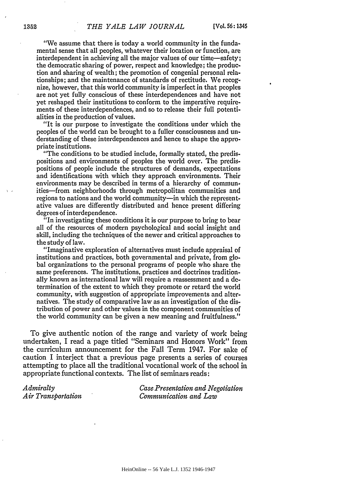"We assume that there is today a world community in the fundamental sense that all peoples, whatever their location or function, are interdependent in achieving all the major values of our time-safety; the democratic sharing of power, respect and knowledge; the production and sharing of wealth; the promotion of congenial personal relationships; and the maintenance of standards of rectitude. We recognize, however, that this world community is imperfect in that peoples are not yet fully conscious of these interdependences and have not yet reshaped their institutions to conform to the imperative requirements of these interdependences, and so to release their full potentialities in the production of values.

"It is our purpose to investigate the conditions under which the peoples of the world can be brought to a fuller consciousness and understanding of these interdependences and hence to shape the appropriate institutions.

"The conditions to be studied include, formally stated, the predispositions and environments of peoples the world over. The predispositions of people include the structures of demands, expectations and identifications with which they approach environments. Their environments may be described in terms of a hierarchy of communities-from neighborhoods through metropolitan communities and regions to nations and the world community-in which the representative values are differently distributed and hence present differing degrees of interdependence.

"In investigating these conditions it is our purpose to bring to bear all of the resources of modern psychological and social insight and skill, including the techniques of the newer and critical approaches to the study of law.

"Imaginative exploration of alternatives must include appraisal of institutions and practices, both governmental and private, from global organizations to the personal programs of people who share the same preferences. The institutions, practices and doctrines traditionally known as international law will require a reassessment and a **de**termination of the extent to which they promote or retard the world community, with suggestion of appropriate improvements and alternatives. The study of comparative law as an investigation of the distribution of power and other values in the component communities of the world community can be given a new meaning and fruitfulness."

To give authentic notion of the range and variety of work being undertaken, I read a page titled "Seminars and Honors Work" from the curriculum announcement for the Fall Term 1947. For sake of caution I interject that a previous page presents a series of courses attempting to place all the traditional vocational work of the school in appropriate functional contexts. The list of seminars reads:

*Admiralty Case Presentation and Negotiation Air Transportation Communication and Law*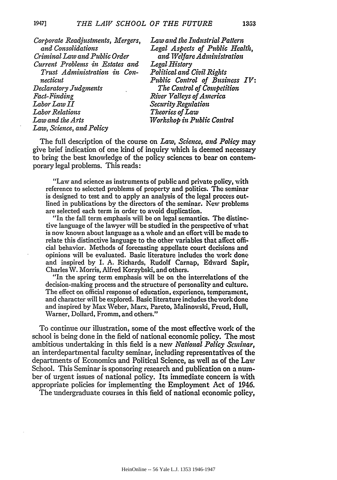| Corporate Readjustments, Mergers, | Law and the Industrial Pattern  |
|-----------------------------------|---------------------------------|
| and Consolidations                | Legal Aspects of Public Health, |
| Criminal Law and Public Order     | and Welfare Administration      |
| Current Problems in Estates and   | Legal History                   |
| Trust Administration in Con-      | Political and Civil Rights      |
| necticut                          | Public Control of Business IV   |
| Declaratory Judgments             | The Control of Competition      |
| Fact-Finding                      | River Valleys of America        |
| Labor Law II                      | Security Regulation             |
| Labor Relations                   | Theories of Law                 |
| Law and the Arts                  | Workshop in Public Control      |
| Law, Science, and Policy          |                                 |

The full description of the course on *Law, Science, and Policy* may give brief indication of one kind of inquiry which is deemed necessary to bring the best knowledge of the policy sciences to bear on contemporary legal problems. This reads:

"Law and science as instruments of public and private policy, with reference to selected problems of property and politics. The seminar is designed to test and to apply an analysis of the legal process outlined in publications by the directors of the seminar. New problems are selected each term in order to avoid duplication.

"In the fall term emphasis will be on legal semantics. The distinctive language of the lawyer will be studied in the perspective of what is now known about language as a whole and an effort will be made to relate this distinctive language to the other variables that affect official behavior. Methods of forecasting appellate court decisions and opinions will be evaluated. Basic literature includes the work done and inspired by I. A. Richards, Rudolf Carnap, Edward Sapir, Charles W. Morris, Alfred Korzybski, and others.

"In the spring term emphasis will be on the interrelations of the decision-making process and the structure of personality and culture. The effect on official response of education, experience, temperament, and character will be explored. Basic literature includes the work done and inspired by Max Weber, Marx, Pareto, Malinowski, Freud, Hull, Warner, Dollard, Fromm, and others."

To continue our illustration, some of the most effective work of the school is being done in the field of national economic policy. The most ambitious undertaking in this field is a new *National Policy Seminar,* an interdepartmental faculty seminar, including representatives of the departments of Economics and Political Science, as well as of the Law School. This Seminar is sponsoring research and publication on a number of urgent issues of national policy. Its immediate concern is with appropriate policies for implementing the Employment Act of 1946.

The undergraduate courses in this field of national economic policy,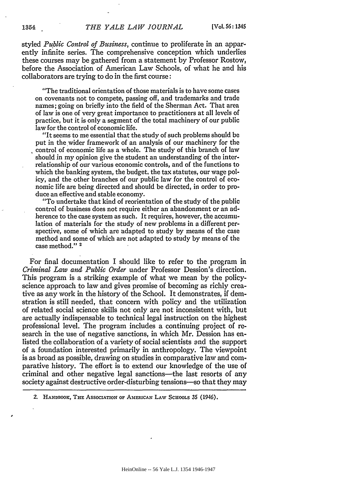styled *Public Control of Business,* continue to proliferate in an apparently infinite series. The comprehensive conception which underlies these courses may be gathered from a statement **by** Professor Rostow, before the Association of American Law Schools, of what he and his collaborators are trying to do in the first course:

"The traditional orientation of those materials is to have some cases on covenants not to compete, passing off, and trademarks and trade names; going on briefly into the field of the Sherman Act. That area of law is one of very great importance to practitioners at all levels of practice, but it is only a segment of the total machinery of our public law for the control of economic life.

"It seems to me essential that the study of such problems should be put in the wider framework of an analysis of our machinery for the control of economic life as a whole. The study of this branch of law should in my opinion give the student an understanding of the interrelationship of our various economic controls, and of the functions to which the banking system, the budget, the tax statutes, our wage policy, and the other branches of our public law for the control of economic life are being directed and should be directed, in order to produce an effective and stable economy.

"To undertake that kind of reorientation of the study of the public control of business does not require either an abandonment or an adherence to the case system as such. It requires, however, the accumulation of materials for the study of new problems in a different perspective, some of which are adapted to study by means of the case method and some of which are not adapted to study **by** means of the case method." 2

For final documentation I should like to refer to the program in *Criminal Law and Public Order* under Professor Dession's direction. This program is a striking example of what we mean **by** the policyscience approach to law and gives promise of becoming as richly creative as any work in the history of the School. It demonstrates, if demstration is still needed, that concern with policy and the utilization of related social science skills not only are not inconsistent with, but are actually indispensable to technical legal instruction on the highest professional level. The program includes a continuing project of research in the use of negative sanctions, in which Mr. Dession has enlisted the collaboration of a variety of social scientists and the support of a foundation interested primarily in anthropology. The viewpoint is as broad as possible, drawing on studies in comparative law and comparative history. The effort is to extend our knowledge of the use of criminal and other negative legal sanctions-the last resorts of any society against destructive order-disturbing tensions-so that they may

<sup>2.</sup> HANDBOOK, THE ASSOCIATION OF AMERICAN LAW SCHOOLS 35 (1946).